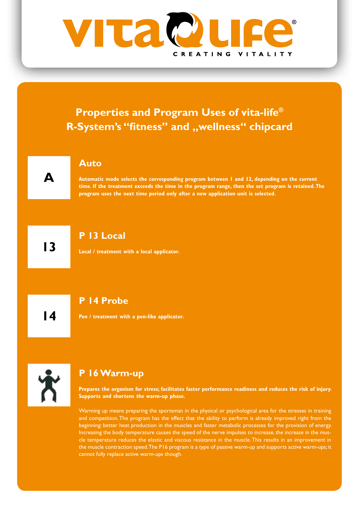

Warming up means preparing the sportsman in the physical or psychological area for the stresses in training and competition. The program has the effect that the ability to perform is already improved right from the beginning: better heat production in the muscles and faster metabolic processes for the provision of energy. Increasing the body temperature causes the speed of the nerve impulses to increase, the increase in the muscle temperature reduces the elastic and viscous resistance in the muscle. This results in an improvement in the muscle contraction speed. The P16 program is a type of passive warm-up and supports active warm-ups; it cannot fully replace active warm-ups though.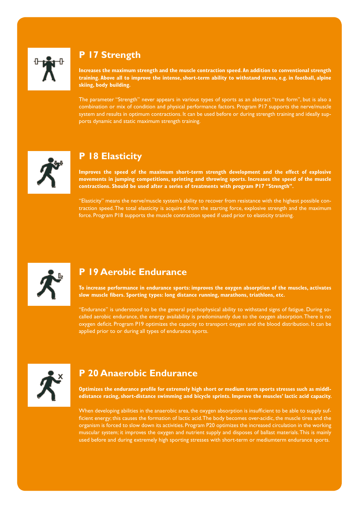

# **P 17 Strength**

**Increases the maximum strength and the muscle contraction speed. An addition to conventional strength training. Above all to improve the intense, short-term ability to withstand stress, e.g. in football, alpine skiing, body building.**

The parameter "Strength" never appears in various types of sports as an abstract "true form", but is also a combination or mix of condition and physical performance factors. Program P17 supports the nerve/muscle system and results in optimum contractions. It can be used before or during strength training and ideally supports dynamic and static maximum strength training.



### **P 18 Elasticity**

**Improves the speed of the maximum short-term strength development and the effect of explosive movements in jumping competitions, sprinting and throwing sports. Increases the speed of the muscle contractions. Should be used after a series of treatments with program P17 "Strength".**

"Elasticity" means the nerve/muscle system's ability to recover from resistance with the highest possible contraction speed. The total elasticity is acquired from the starting force, explosive strength and the maximum force. Program P18 supports the muscle contraction speed if used prior to elasticity training.



#### **P 19 Aerobic Endurance**

**To increase performance in endurance sports: improves the oxygen absorption of the muscles, activates slow muscle fibers. Sporting types: long distance running, marathons, triathlons, etc.**

"Endurance" is understood to be the general psychophysical ability to withstand signs of fatigue. During socalled aerobic endurance, the energy availability is predominantly due to the oxygen absorption. There is no oxygen deficit. Program P19 optimizes the capacity to transport oxygen and the blood distribution. It can be applied prior to or during all types of endurance sports.



# **P 20 Anaerobic Endurance**

**Optimizes the endurance profile for extremely high short or medium term sports stresses such as middledistance racing, short-distance swimming and bicycle sprints. Improve the muscles' lactic acid capacity.**

When developing abilities in the anaerobic area, the oxygen absorption is insufficient to be able to supply sufficient energy; this causes the formation of lactic acid. The body becomes over-acidic, the muscle tires and the organism is forced to slow down its activities. Program P20 optimizes the increased circulation in the working muscular system; it improves the oxygen and nutrient supply and disposes of ballast materials. This is mainly used before and during extremely high sporting stresses with short-term or mediumterm endurance sports.